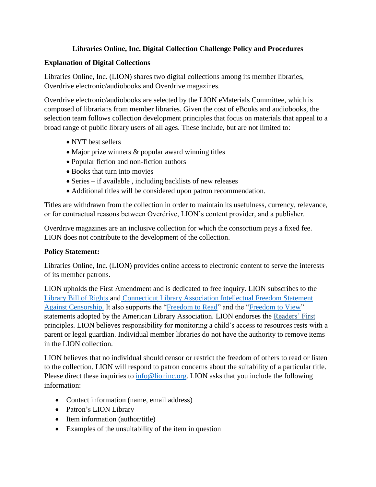## **Libraries Online, Inc. Digital Collection Challenge Policy and Procedures**

## **Explanation of Digital Collections**

Libraries Online, Inc. (LION) shares two digital collections among its member libraries, Overdrive electronic/audiobooks and Overdrive magazines.

Overdrive electronic/audiobooks are selected by the LION eMaterials Committee, which is composed of librarians from member libraries. Given the cost of eBooks and audiobooks, the selection team follows collection development principles that focus on materials that appeal to a broad range of public library users of all ages. These include, but are not limited to:

- NYT best sellers
- Major prize winners & popular award winning titles
- Popular fiction and non-fiction authors
- Books that turn into movies
- Series if available, including backlists of new releases
- Additional titles will be considered upon patron recommendation.

Titles are withdrawn from the collection in order to maintain its usefulness, currency, relevance, or for contractual reasons between Overdrive, LION's content provider, and a publisher.

Overdrive magazines are an inclusive collection for which the consortium pays a fixed fee. LION does not contribute to the development of the collection.

## **Policy Statement:**

Libraries Online, Inc. (LION) provides online access to electronic content to serve the interests of its member patrons.

LION upholds the First Amendment and is dedicated to free inquiry. LION subscribes to the [Library Bill of Rights](http://www.ala.org/advocacy/intfreedom/librarybill) and [Connecticut Library Association Intellectual Freedom Statement](https://ctlibraryassociation.starchapter.com/images/IF_Freedom_statement_2022.pdf)  [Against Censorship.](https://ctlibraryassociation.starchapter.com/images/IF_Freedom_statement_2022.pdf) It also supports the ["Freedom to Read"](http://www.ala.org/advocacy/intfreedom/statementspols/freedomreadstatement) and the ["Freedom to View"](http://www.ala.org/advocacy/intfreedom/statementspols/freedomviewstatement) statements adopted by the American Library Association. LION endorses the [Readers' First](http://readersfirst.org/) principles. LION believes responsibility for monitoring a child's access to resources rests with a parent or legal guardian. Individual member libraries do not have the authority to remove items in the LION collection.

LION believes that no individual should censor or restrict the freedom of others to read or listen to the collection. LION will respond to patron concerns about the suitability of a particular title. Please direct these inquiries to  $\frac{info@\text{lioninc.org}}{info@\text{loninc.org}}$ . LION asks that you include the following information:

- Contact information (name, email address)
- Patron's LION Library
- Item information (author/title)
- Examples of the unsuitability of the item in question